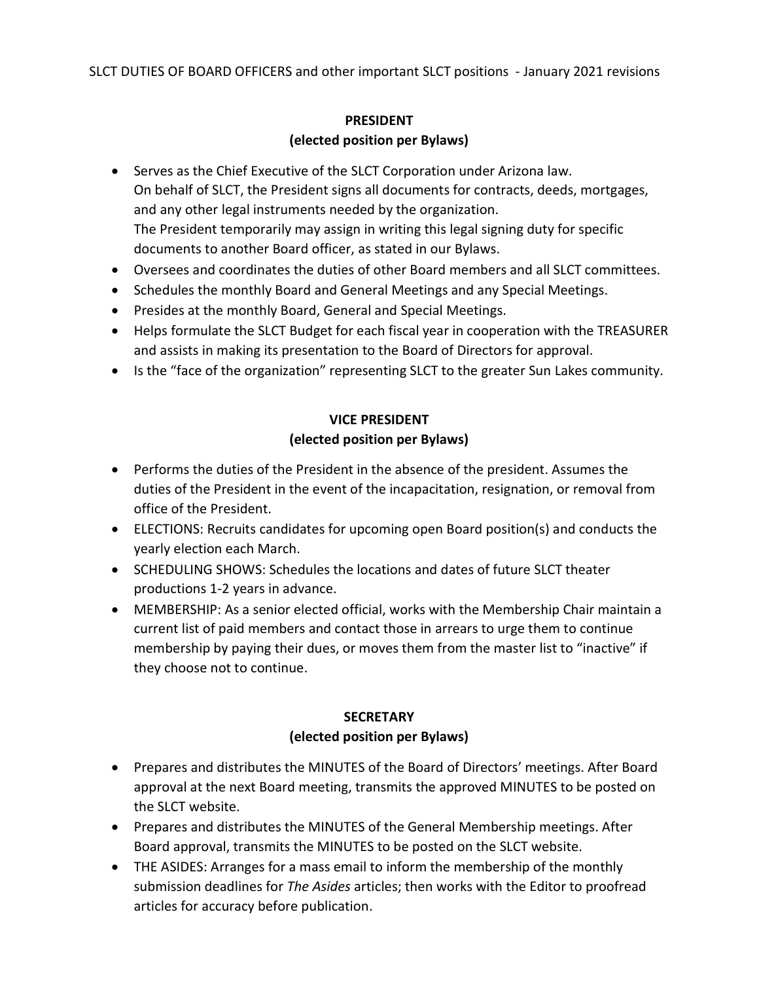## PRESIDENT (elected position per Bylaws)

- Serves as the Chief Executive of the SLCT Corporation under Arizona law. On behalf of SLCT, the President signs all documents for contracts, deeds, mortgages, and any other legal instruments needed by the organization. The President temporarily may assign in writing this legal signing duty for specific documents to another Board officer, as stated in our Bylaws.
- Oversees and coordinates the duties of other Board members and all SLCT committees.
- Schedules the monthly Board and General Meetings and any Special Meetings.
- Presides at the monthly Board, General and Special Meetings.
- Helps formulate the SLCT Budget for each fiscal year in cooperation with the TREASURER and assists in making its presentation to the Board of Directors for approval.
- Is the "face of the organization" representing SLCT to the greater Sun Lakes community.

# VICE PRESIDENT (elected position per Bylaws)

- Performs the duties of the President in the absence of the president. Assumes the duties of the President in the event of the incapacitation, resignation, or removal from office of the President.
- ELECTIONS: Recruits candidates for upcoming open Board position(s) and conducts the yearly election each March.
- SCHEDULING SHOWS: Schedules the locations and dates of future SLCT theater productions 1-2 years in advance.
- MEMBERSHIP: As a senior elected official, works with the Membership Chair maintain a current list of paid members and contact those in arrears to urge them to continue membership by paying their dues, or moves them from the master list to "inactive" if they choose not to continue.

## **SECRETARY**

## (elected position per Bylaws)

- Prepares and distributes the MINUTES of the Board of Directors' meetings. After Board approval at the next Board meeting, transmits the approved MINUTES to be posted on the SLCT website.
- Prepares and distributes the MINUTES of the General Membership meetings. After Board approval, transmits the MINUTES to be posted on the SLCT website.
- THE ASIDES: Arranges for a mass email to inform the membership of the monthly submission deadlines for The Asides articles; then works with the Editor to proofread articles for accuracy before publication.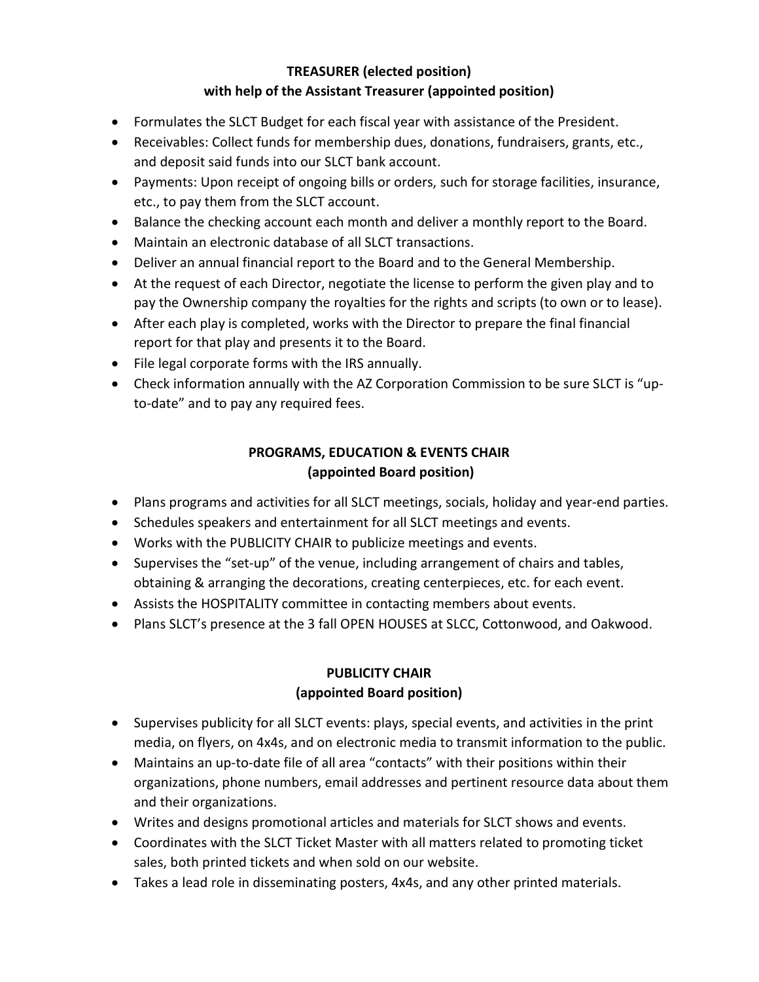## TREASURER (elected position) with help of the Assistant Treasurer (appointed position)

- Formulates the SLCT Budget for each fiscal year with assistance of the President.
- Receivables: Collect funds for membership dues, donations, fundraisers, grants, etc., and deposit said funds into our SLCT bank account.
- Payments: Upon receipt of ongoing bills or orders, such for storage facilities, insurance, etc., to pay them from the SLCT account.
- Balance the checking account each month and deliver a monthly report to the Board.
- Maintain an electronic database of all SLCT transactions.
- Deliver an annual financial report to the Board and to the General Membership.
- At the request of each Director, negotiate the license to perform the given play and to pay the Ownership company the royalties for the rights and scripts (to own or to lease).
- After each play is completed, works with the Director to prepare the final financial report for that play and presents it to the Board.
- File legal corporate forms with the IRS annually.
- Check information annually with the AZ Corporation Commission to be sure SLCT is "upto-date" and to pay any required fees.

# PROGRAMS, EDUCATION & EVENTS CHAIR (appointed Board position)

- Plans programs and activities for all SLCT meetings, socials, holiday and year-end parties.
- Schedules speakers and entertainment for all SLCT meetings and events.
- Works with the PUBLICITY CHAIR to publicize meetings and events.
- Supervises the "set-up" of the venue, including arrangement of chairs and tables, obtaining & arranging the decorations, creating centerpieces, etc. for each event.
- Assists the HOSPITALITY committee in contacting members about events.
- Plans SLCT's presence at the 3 fall OPEN HOUSES at SLCC, Cottonwood, and Oakwood.

# PUBLICITY CHAIR (appointed Board position)

- Supervises publicity for all SLCT events: plays, special events, and activities in the print media, on flyers, on 4x4s, and on electronic media to transmit information to the public.
- Maintains an up-to-date file of all area "contacts" with their positions within their organizations, phone numbers, email addresses and pertinent resource data about them and their organizations.
- Writes and designs promotional articles and materials for SLCT shows and events.
- Coordinates with the SLCT Ticket Master with all matters related to promoting ticket sales, both printed tickets and when sold on our website.
- Takes a lead role in disseminating posters, 4x4s, and any other printed materials.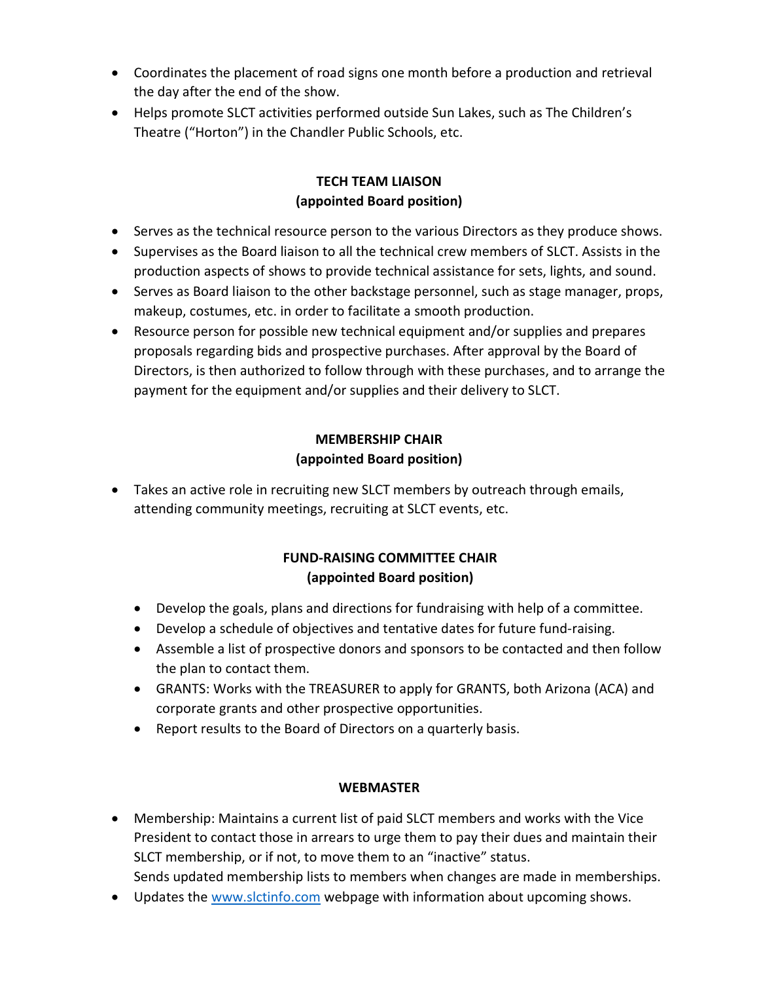- Coordinates the placement of road signs one month before a production and retrieval the day after the end of the show.
- Helps promote SLCT activities performed outside Sun Lakes, such as The Children's Theatre ("Horton") in the Chandler Public Schools, etc.

## TECH TEAM LIAISON (appointed Board position)

- Serves as the technical resource person to the various Directors as they produce shows.
- Supervises as the Board liaison to all the technical crew members of SLCT. Assists in the production aspects of shows to provide technical assistance for sets, lights, and sound.
- Serves as Board liaison to the other backstage personnel, such as stage manager, props, makeup, costumes, etc. in order to facilitate a smooth production.
- Resource person for possible new technical equipment and/or supplies and prepares proposals regarding bids and prospective purchases. After approval by the Board of Directors, is then authorized to follow through with these purchases, and to arrange the payment for the equipment and/or supplies and their delivery to SLCT.

# MEMBERSHIP CHAIR (appointed Board position)

 Takes an active role in recruiting new SLCT members by outreach through emails, attending community meetings, recruiting at SLCT events, etc.

# FUND-RAISING COMMITTEE CHAIR (appointed Board position)

- Develop the goals, plans and directions for fundraising with help of a committee.
- Develop a schedule of objectives and tentative dates for future fund-raising.
- Assemble a list of prospective donors and sponsors to be contacted and then follow the plan to contact them.
- GRANTS: Works with the TREASURER to apply for GRANTS, both Arizona (ACA) and corporate grants and other prospective opportunities.
- Report results to the Board of Directors on a quarterly basis.

## WEBMASTER

- Membership: Maintains a current list of paid SLCT members and works with the Vice President to contact those in arrears to urge them to pay their dues and maintain their SLCT membership, or if not, to move them to an "inactive" status.
- Sends updated membership lists to members when changes are made in memberships.
- Updates the www.slctinfo.com webpage with information about upcoming shows.